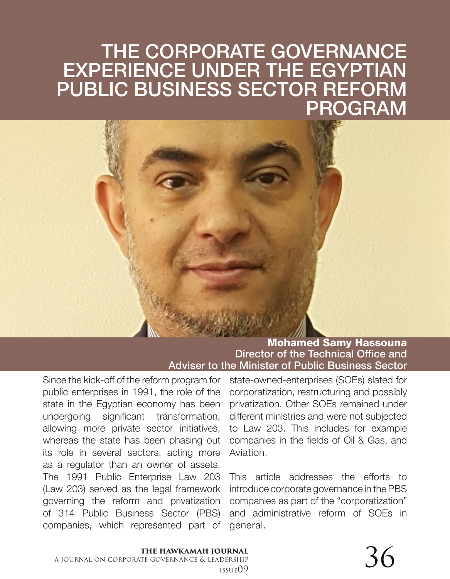# THE CORPORATE GOVERNANCE EXPERIENCE UNDER THE EGYPTIAN PUBLIC BUSINESS SECTOR REFORM PROGRAM

### Mohamed Samy Hassouna Director of the Technical Office and Adviser to the Minister of Public Business Sector

Since the kick-off of the reform program for public enterprises in 1991, the role of the state in the Egyptian economy has been undergoing significant transformation, allowing more private sector initiatives, whereas the state has been phasing out its role in several sectors, acting more as a regulator than an owner of assets. The 1991 Public Enterprise Law 203 (Law 203) served as the legal framework governing the reform and privatization of 314 Public Business Sector (PBS) companies, which represented part of state-owned-enterprises (SOEs) slated for corporatization, restructuring and possibly privatization. Other SOEs remained under different ministries and were not subjected to Law 203. This includes for example companies in the fields of Oil & Gas, and Aviation.

This article addresses the efforts to introduce corporate governance in the PBS companies as part of the "corporatization" and administrative reform of SOEs in general.

# **the hawkamah journal**

a journal on corporate governance & leadership  $\frac{1}{\text{DERSHIP}}$   $\frac{1}{\text{USSUE}(19)}$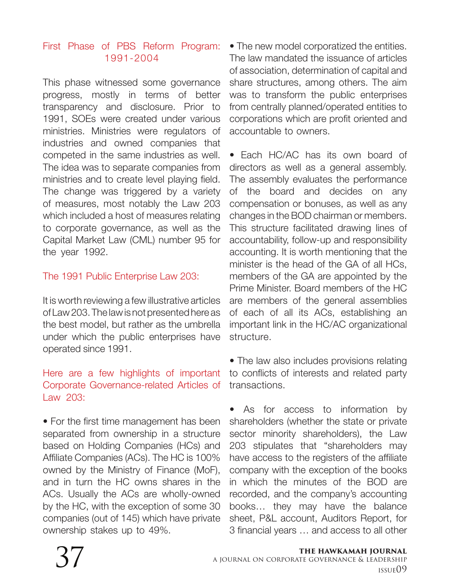### First Phase of PBS Reform Program: 1991-2004

This phase witnessed some governance progress, mostly in terms of better transparency and disclosure. Prior to 1991, SOEs were created under various ministries. Ministries were regulators of industries and owned companies that competed in the same industries as well. The idea was to separate companies from ministries and to create level playing field. The change was triggered by a variety of measures, most notably the Law 203 which included a host of measures relating to corporate governance, as well as the Capital Market Law (CML) number 95 for the year 1992.

### The 1991 Public Enterprise Law 203:

It is worth reviewing a few illustrative articles of Law 203. The law is not presented here as the best model, but rather as the umbrella under which the public enterprises have operated since 1991.

### Here are a few highlights of important Corporate Governance-related Articles of Law 203:

• For the first time management has been separated from ownership in a structure based on Holding Companies (HCs) and Affiliate Companies (ACs). The HC is 100% owned by the Ministry of Finance (MoF), and in turn the HC owns shares in the ACs. Usually the ACs are wholly-owned by the HC, with the exception of some 30 companies (out of 145) which have private ownership stakes up to 49%.

• The new model corporatized the entities. The law mandated the issuance of articles of association, determination of capital and share structures, among others. The aim was to transform the public enterprises from centrally planned/operated entities to corporations which are profit oriented and accountable to owners.

• Fach HC/AC has its own board of directors as well as a general assembly. The assembly evaluates the performance of the board and decides on any compensation or bonuses, as well as any changes in the BOD chairman or members. This structure facilitated drawing lines of accountability, follow-up and responsibility accounting. It is worth mentioning that the minister is the head of the GA of all HCs, members of the GA are appointed by the Prime Minister. Board members of the HC are members of the general assemblies of each of all its ACs, establishing an important link in the HC/AC organizational structure.

• The law also includes provisions relating to conflicts of interests and related party transactions.

• As for access to information by shareholders (whether the state or private sector minority shareholders), the Law 203 stipulates that "shareholders may have access to the registers of the affiliate company with the exception of the books in which the minutes of the BOD are recorded, and the company's accounting books… they may have the balance sheet, P&L account, Auditors Report, for 3 financial years … and access to all other

#### **the hawkamah journal** a journal on corporate governance & leadership 37 issue09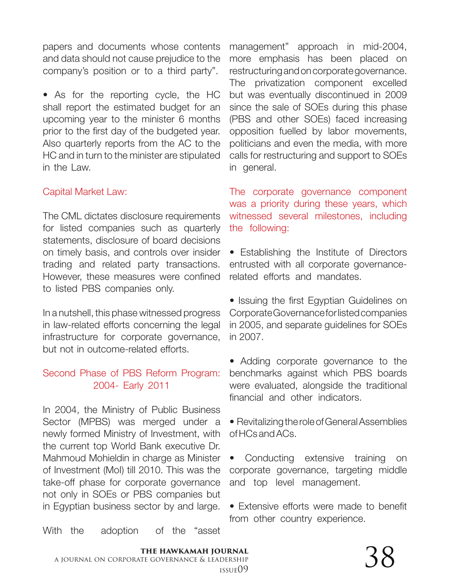papers and documents whose contents and data should not cause prejudice to the company's position or to a third party".

• As for the reporting cycle, the HC shall report the estimated budget for an upcoming year to the minister 6 months prior to the first day of the budgeted year. Also quarterly reports from the AC to the HC and in turn to the minister are stipulated in the Law.

### Capital Market Law:

The CML dictates disclosure requirements for listed companies such as quarterly statements, disclosure of board decisions on timely basis, and controls over insider trading and related party transactions. However, these measures were confined to listed PBS companies only.

In a nutshell, this phase witnessed progress in law-related efforts concerning the legal infrastructure for corporate governance, but not in outcome-related efforts.

### Second Phase of PBS Reform Program: 2004- Early 2011

In 2004, the Ministry of Public Business Sector (MPBS) was merged under a newly formed Ministry of Investment, with the current top World Bank executive Dr. Mahmoud Mohieldin in charge as Minister of Investment (MoI) till 2010. This was the take-off phase for corporate governance not only in SOEs or PBS companies but in Egyptian business sector by and large.

With the adoption of the "asset

management" approach in mid-2004, more emphasis has been placed on restructuring and on corporate governance. The privatization component excelled but was eventually discontinued in 2009 since the sale of SOEs during this phase (PBS and other SOEs) faced increasing opposition fuelled by labor movements, politicians and even the media, with more calls for restructuring and support to SOEs in general.

The corporate governance component was a priority during these years, which witnessed several milestones, including the following:

• Establishing the Institute of Directors entrusted with all corporate governancerelated efforts and mandates.

• Issuing the first Egyptian Guidelines on Corporate Governance for listed companies in 2005, and separate guidelines for SOEs in 2007.

• Adding corporate governance to the benchmarks against which PBS boards were evaluated, alongside the traditional financial and other indicators.

• Revitalizing the role of General Assemblies of HCs and ACs.

• Conducting extensive training on corporate governance, targeting middle and top level management.

• Extensive efforts were made to benefit from other country experience.

**the hawkamah journal** a journal on corporate governance & leadership  $\frac{1}{\text{DERSHIP}}$   $\frac{38}{\text{USSUE}(09)}$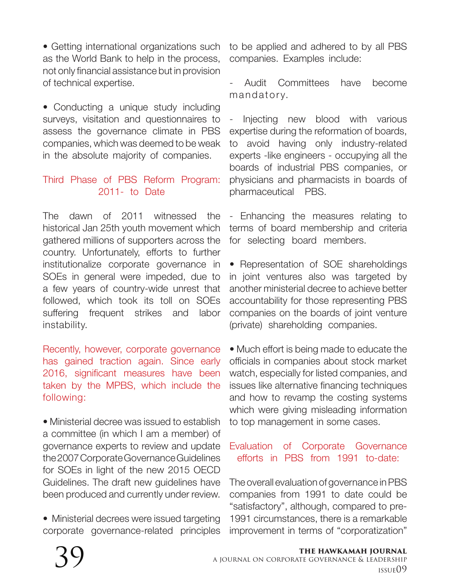• Getting international organizations such as the World Bank to help in the process, not only financial assistance but in provision of technical expertise.

• Conducting a unique study including surveys, visitation and questionnaires to assess the governance climate in PBS companies, which was deemed to be weak in the absolute majority of companies.

### Third Phase of PBS Reform Program: 2011- to Date

The dawn of 2011 witnessed the historical Jan 25th youth movement which gathered millions of supporters across the country. Unfortunately, efforts to further institutionalize corporate governance in SOEs in general were impeded, due to a few years of country-wide unrest that followed, which took its toll on SOEs suffering frequent strikes and labor instability.

Recently, however, corporate governance has gained traction again. Since early 2016, significant measures have been taken by the MPBS, which include the following:

• Ministerial decree was issued to establish a committee (in which I am a member) of governance experts to review and update the 2007 Corporate Governance Guidelines for SOEs in light of the new 2015 OECD Guidelines. The draft new guidelines have been produced and currently under review.

• Ministerial decrees were issued targeting corporate governance-related principles to be applied and adhered to by all PBS companies. Examples include:

Audit Committees have become mandatory.

- Injecting new blood with various expertise during the reformation of boards, to avoid having only industry-related experts -like engineers - occupying all the boards of industrial PBS companies, or physicians and pharmacists in boards of pharmaceutical PBS.

- Enhancing the measures relating to terms of board membership and criteria for selecting board members.

• Representation of SOE shareholdings in joint ventures also was targeted by another ministerial decree to achieve better accountability for those representing PBS companies on the boards of joint venture (private) shareholding companies.

• Much effort is being made to educate the officials in companies about stock market watch, especially for listed companies, and issues like alternative financing techniques and how to revamp the costing systems which were giving misleading information to top management in some cases.

### Evaluation of Corporate Governance efforts in PBS from 1991 to-date:

The overall evaluation of governance in PBS companies from 1991 to date could be "satisfactory", although, compared to pre-1991 circumstances, there is a remarkable improvement in terms of "corporatization"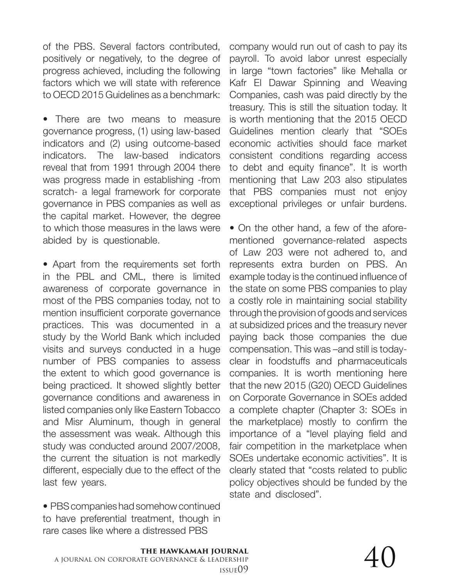of the PBS. Several factors contributed, positively or negatively, to the degree of progress achieved, including the following factors which we will state with reference to OECD 2015 Guidelines as a benchmark:

• There are two means to measure governance progress, (1) using law-based indicators and (2) using outcome-based indicators. The law-based indicators reveal that from 1991 through 2004 there was progress made in establishing -from scratch- a legal framework for corporate governance in PBS companies as well as the capital market. However, the degree to which those measures in the laws were abided by is questionable.

• Apart from the requirements set forth in the PBL and CML, there is limited awareness of corporate governance in most of the PBS companies today, not to mention insufficient corporate governance practices. This was documented in a study by the World Bank which included visits and surveys conducted in a huge number of PBS companies to assess the extent to which good governance is being practiced. It showed slightly better governance conditions and awareness in listed companies only like Eastern Tobacco and Misr Aluminum, though in general the assessment was weak. Although this study was conducted around 2007/2008, the current the situation is not markedly different, especially due to the effect of the last few years.

• PBS companies had somehow continued to have preferential treatment, though in rare cases like where a distressed PBS

company would run out of cash to pay its payroll. To avoid labor unrest especially in large "town factories" like Mehalla or Kafr El Dawar Spinning and Weaving Companies, cash was paid directly by the treasury. This is still the situation today. It is worth mentioning that the 2015 OECD Guidelines mention clearly that "SOEs economic activities should face market consistent conditions regarding access to debt and equity finance". It is worth mentioning that Law 203 also stipulates that PBS companies must not enjoy exceptional privileges or unfair burdens.

• On the other hand, a few of the aforementioned governance-related aspects of Law 203 were not adhered to, and represents extra burden on PBS. An example today is the continued influence of the state on some PBS companies to play a costly role in maintaining social stability through the provision of goods and services at subsidized prices and the treasury never paying back those companies the due compensation. This was –and still is todayclear in foodstuffs and pharmaceuticals companies. It is worth mentioning here that the new 2015 (G20) OECD Guidelines on Corporate Governance in SOEs added a complete chapter (Chapter 3: SOEs in the marketplace) mostly to confirm the importance of a "level playing field and fair competition in the marketplace when SOEs undertake economic activities". It is clearly stated that "costs related to public policy objectives should be funded by the state and disclosed".